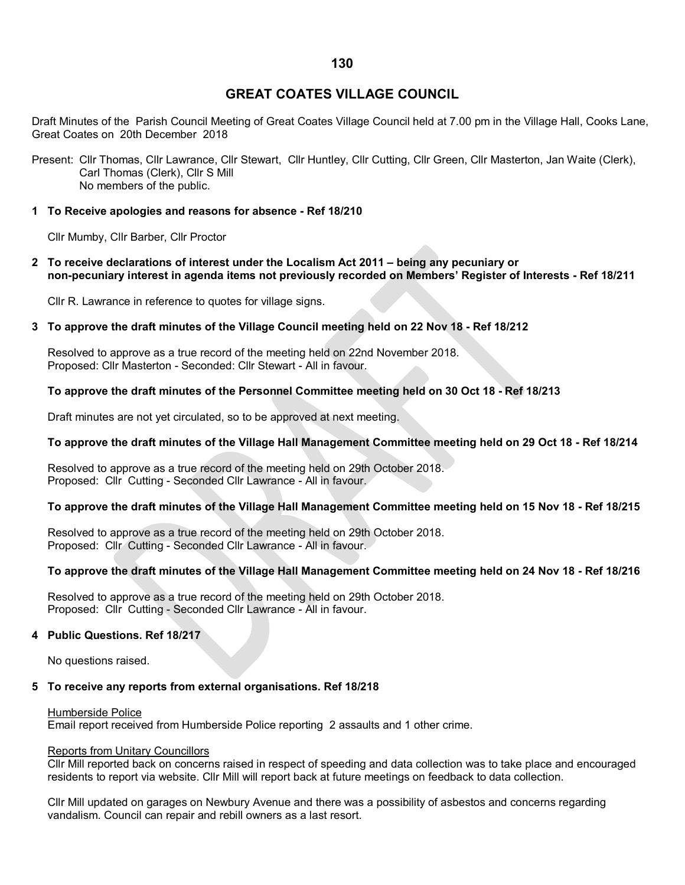# **GREAT COATES VILLAGE COUNCIL**

Draft Minutes of the Parish Council Meeting of Great Coates Village Council held at 7.00 pm in the Village Hall, Cooks Lane, Great Coates on 20th December 2018

Present: Cllr Thomas, Cllr Lawrance, Cllr Stewart, Cllr Huntley, Cllr Cutting, Cllr Green, Cllr Masterton, Jan Waite (Clerk), Carl Thomas (Clerk), Cllr S Mill No members of the public.

## **1 To Receive apologies and reasons for absence - Ref 18/210**

Cllr Mumby, Cllr Barber, Cllr Proctor

**2 To receive declarations of interest under the Localism Act 2011 – being any pecuniary or non-pecuniary interest in agenda items not previously recorded on Members' Register of Interests - Ref 18/211**

Cllr R. Lawrance in reference to quotes for village signs.

## **3 To approve the draft minutes of the Village Council meeting held on 22 Nov 18 - Ref 18/212**

Resolved to approve as a true record of the meeting held on 22nd November 2018. Proposed: Cllr Masterton - Seconded: Cllr Stewart - All in favour.

## **To approve the draft minutes of the Personnel Committee meeting held on 30 Oct 18 - Ref 18/213**

Draft minutes are not yet circulated, so to be approved at next meeting.

## **To approve the draft minutes of the Village Hall Management Committee meeting held on 29 Oct 18 - Ref 18/214**

Resolved to approve as a true record of the meeting held on 29th October 2018. Proposed: Cllr Cutting - Seconded Cllr Lawrance - All in favour.

## **To approve the draft minutes of the Village Hall Management Committee meeting held on 15 Nov 18 - Ref 18/215**

Resolved to approve as a true record of the meeting held on 29th October 2018. Proposed: Cllr Cutting - Seconded Cllr Lawrance - All in favour.

## **To approve the draft minutes of the Village Hall Management Committee meeting held on 24 Nov 18 - Ref 18/216**

Resolved to approve as a true record of the meeting held on 29th October 2018. Proposed: Cllr Cutting - Seconded Cllr Lawrance - All in favour.

## **4 Public Questions. Ref 18/217**

No questions raised.

# **5 To receive any reports from external organisations. Ref 18/218**

## Humberside Police

Email report received from Humberside Police reporting 2 assaults and 1 other crime.

## Reports from Unitary Councillors

Cllr Mill reported back on concerns raised in respect of speeding and data collection was to take place and encouraged residents to report via website. Cllr Mill will report back at future meetings on feedback to data collection.

Cllr Mill updated on garages on Newbury Avenue and there was a possibility of asbestos and concerns regarding vandalism. Council can repair and rebill owners as a last resort.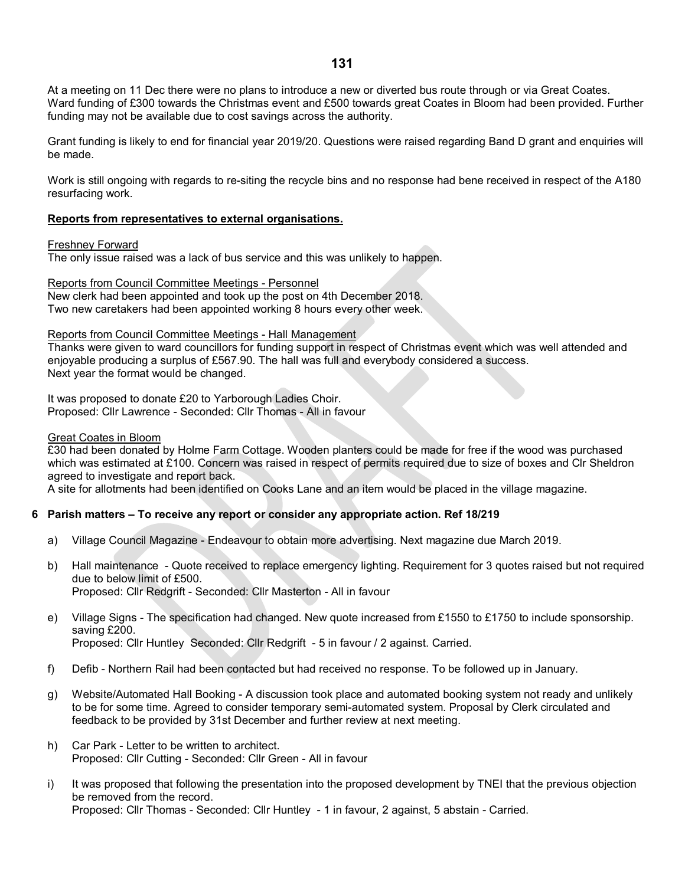At a meeting on 11 Dec there were no plans to introduce a new or diverted bus route through or via Great Coates. Ward funding of £300 towards the Christmas event and £500 towards great Coates in Bloom had been provided. Further funding may not be available due to cost savings across the authority.

Grant funding is likely to end for financial year 2019/20. Questions were raised regarding Band D grant and enquiries will be made.

Work is still ongoing with regards to re-siting the recycle bins and no response had bene received in respect of the A180 resurfacing work.

#### **Reports from representatives to external organisations.**

#### Freshney Forward

The only issue raised was a lack of bus service and this was unlikely to happen.

Reports from Council Committee Meetings - Personnel

New clerk had been appointed and took up the post on 4th December 2018. Two new caretakers had been appointed working 8 hours every other week.

Reports from Council Committee Meetings - Hall Management

Thanks were given to ward councillors for funding support in respect of Christmas event which was well attended and enjoyable producing a surplus of £567.90. The hall was full and everybody considered a success. Next year the format would be changed.

It was proposed to donate £20 to Yarborough Ladies Choir. Proposed: Cllr Lawrence - Seconded: Cllr Thomas - All in favour

#### Great Coates in Bloom

£30 had been donated by Holme Farm Cottage. Wooden planters could be made for free if the wood was purchased which was estimated at £100. Concern was raised in respect of permits required due to size of boxes and Clr Sheldron agreed to investigate and report back.

A site for allotments had been identified on Cooks Lane and an item would be placed in the village magazine.

## **6 Parish matters – To receive any report or consider any appropriate action. Ref 18/219**

- a) Village Council Magazine Endeavour to obtain more advertising. Next magazine due March 2019.
- b) Hall maintenance Quote received to replace emergency lighting. Requirement for 3 quotes raised but not required due to below limit of £500. Proposed: Cllr Redgrift - Seconded: Cllr Masterton - All in favour
- e) Village Signs The specification had changed. New quote increased from £1550 to £1750 to include sponsorship. saving £200. Proposed: Cllr Huntley Seconded: Cllr Redgrift - 5 in favour / 2 against. Carried.
- f) Defib Northern Rail had been contacted but had received no response. To be followed up in January.
- g) Website/Automated Hall Booking A discussion took place and automated booking system not ready and unlikely to be for some time. Agreed to consider temporary semi-automated system. Proposal by Clerk circulated and feedback to be provided by 31st December and further review at next meeting.
- h) Car Park Letter to be written to architect. Proposed: Cllr Cutting - Seconded: Cllr Green - All in favour
- i) It was proposed that following the presentation into the proposed development by TNEI that the previous objection be removed from the record. Proposed: Cllr Thomas - Seconded: Cllr Huntley - 1 in favour, 2 against, 5 abstain - Carried.